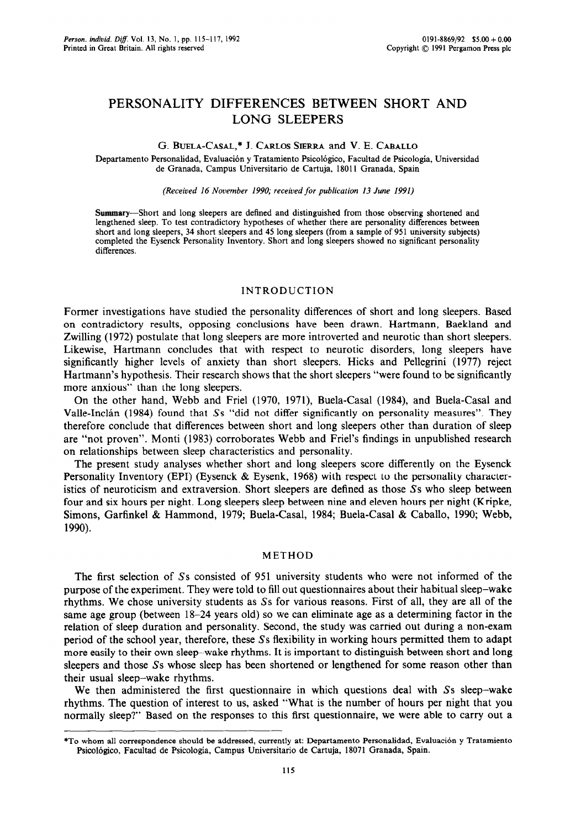# **PERSONALITY DIFFERENCES BETWEEN SHORT AND LONG SLEEPERS**

# G. BUELA-CASAL,\* J. CARLOS SIERRA and V. E. CABALLO

Departamento Personalidad, Evaluación y Tratamiento Psicológico, Facultad de Psicología, Universidad de Granada, Campus Universitario de Cartuja, 18011 Granada, Spain

#### *(Received 16 November 1990; received for publication 13 June 1991)*

Summary-Short and long sleepers are defined and distinguished from those observing shortened and lengthened sleep. To test contradictory hypotheses of whether there are personality differences between short and long sleepers, 34 short sleepers and 45 long sleepers (from a sample of 951 university subjects) completed the Eysenck Personality Inventory. Short and long sleepers showed no significant personality differences.

# INTRODUCTION

Former investigations have studied the personality differences of short and long sleepers. Based on contradictory results, opposing conclusions have been drawn. Hartmann, Baekland and Zwilling (1972) postulate that long sleepers are more introverted and neurotic than short sleepers. Likewise, Hartmann concludes that with respect to neurotic disorders, long sleepers have significantly higher levels of anxiety than short sleepers. Hicks and Pellegrini (1977) reject Hartmann's hypothesis. Their research shows that the short sleepers "were found to be significantly more anxious" than the long sleepers.

On the other hand, Webb and Friel (1970, 1971), Buela-Casal (1984) and Buela-Casal and Valle-Inclán (1984) found that Ss "did not differ significantly on personality measures". They therefore conclude that differences between short and long sleepers other than duration of sleep are "not proven". Monti (1983) corroborates Webb and Friel's findings in unpublished research on relationships between sleep characteristics and personality.

The present study analyses whether short and long sleepers score differently on the Eysenck Personality Inventory (EPI) (Eysenck & Eysenk, 1968) with respect to the personality characteristics of neuroticism and extraversion. Short sleepers are defined as those Ss who sleep between four and six hours per night. Long sleepers sleep between nine and eleven hours per night (Kripke, Simons, Garfinkel & Hammond, 1979; Buela-Casal, 1984; Buela-Casal dz Caballo, 1990; Webb, 1990).

# METHOD

The first selection of Ss consisted of 951 university students who were not informed of the purpose of the experiment. They were told to fill out questionnaires about their habitual sleep-wake rhythms. We chose university students as Ss for various reasons. First of all, they are all of the same age group (between 18-24 years old) so we can eliminate age as a determining factor in the relation of sleep duration and personality. Second, the study was carried out during a non-exam period of the school year, therefore, these Ss flexibility in working hours permitted them to adapt more easily to their own sleep-wake rhythms. It is important to distinguish between short and long sleepers and those Ss whose sleep has been shortened or lengthened for some reason other than their usual sleep-wake rhythms.

We then administered the first questionnaire in which questions deal with  $S<sub>S</sub>$  sleep-wake rhythms. The question of interest to us, asked "What is the number of hours per night that you normally sleep?" Based on the responses to this first questionnaire, we were able to carry out a

<sup>\*</sup>To whom all correspondence should be addressed, currently at: Departamento Personalidad, Evaluation y Tratamiento Psicologico, Facultad de Psicologia, Campus Universitario de Cartuja, 18071 Granada, Spain.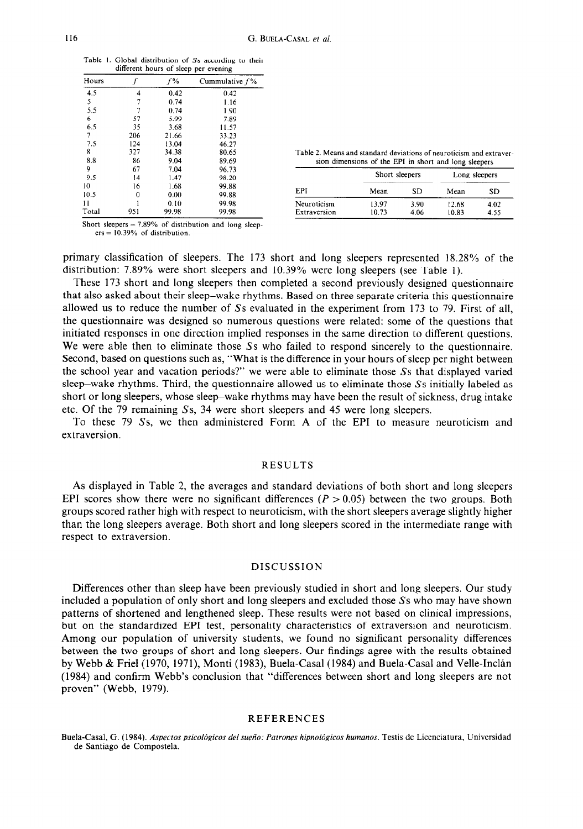|  | Table 1. Global distribution of Ss according to their |
|--|-------------------------------------------------------|
|  | different hours of sleep per evening                  |

| Hours |     | $f\%$ | Cummulative $f\%$ |
|-------|-----|-------|-------------------|
| 4.5   | 4   | 0.42  | 0.42              |
| 5     | 7   | 0.74  | 1.16              |
| 5.5   |     | 0.74  | 1.90              |
| 6     | 57  | 5.99  | 7.89              |
| 6.5   | 35  | 3.68  | 11.57             |
| 7     | 206 | 21.66 | 33.23             |
| 7.5   | 124 | 13.04 | 46.27             |
| 8     | 327 | 34.38 | 80.65             |
| 8.8   | 86  | 9.04  | 89.69             |
| 9     | 67  | 7.04  | 96.73             |
| 9.5   | 14  | 1.47  | 98.20             |
| 10    | 16  | 1.68  | 99.88             |
| 10.5  | 0   | 0.00  | 99.88             |
| 11    |     | 0.10  | 99.98             |
| Total | 951 | 99.98 | 99.98             |

|  |                                                       |  |  |  | Table 2. Means and standard deviations of neuroticism and extraver- |  |
|--|-------------------------------------------------------|--|--|--|---------------------------------------------------------------------|--|
|  | sion dimensions of the EPI in short and long sleepers |  |  |  |                                                                     |  |

| q     | 67  | 7.04  | 96.73 |              | Short sleepers |      | Long sleepers |       |  |
|-------|-----|-------|-------|--------------|----------------|------|---------------|-------|--|
| 9.5   | 14  | .47   | 98.20 |              |                |      |               |       |  |
| 10    | 16  | . 68  | 99.88 |              |                |      |               |       |  |
| 0.5   |     | 0.00  | 99.88 | EPI          | Mean           | SD   | Mean          | SD    |  |
|       |     | 0.10  | 99.98 | Neuroticism  | 13.97          | 3.90 | 12.68         | 4 0 2 |  |
| Total | 951 | 99.98 | 99.98 | Extraversion | 10.73          | 4.06 | 10.83         | 4.55  |  |
|       |     |       |       |              |                |      |               |       |  |

Short sleepers =  $7.89\%$  of distribution and long sleepers = 10.39% of distribution.

primary classification of sleepers. The 173 short and long sleepers represented 18.28% of the distribution: 7.89% were short sleepers and 10.39% were long sleepers (see Table 1).

These 173 short and long sleepers then completed a second previously designed questionnaire that also asked about their sleep-wake rhythms. Based on three separate criteria this questionnaire allowed us to reduce the number of Ss evaluated in the experiment from 173 to 79. First of all, the questionnaire was designed so numerous questions were related: some of the questions that initiated responses in one direction implied responses in the same direction to different questions. We were able then to eliminate those Ss who failed to respond sincerely to the questionnaire. Second, based on questions such as, "What is the difference in your hours of sleep per night between the school year and vacation periods?" we were able to eliminate those Ss that displayed varied sleep-wake rhythms. Third, the questionnaire allowed us to eliminate those Ss initially labeled as short or long sleepers, whose sleep-wake rhythms may have been the result of sickness, drug intake etc. Of the 79 remaining Ss, 34 were short sleepers and 45 were long sleepers.

To these 79 Ss, we then administered Form A of the EPI to measure neuroticism and extraversion.

### RESULTS

As displayed in Table 2, the averages and standard deviations of both short and long sleepers EPI scores show there were no significant differences  $(P > 0.05)$  between the two groups. Both groups scored rather high with respect to neuroticism, with the short sleepers average slightly higher than the long sleepers average. Both short and long sleepers scored in the intermediate range with respect to extraversion.

# DISCUSSION

Differences other than sleep have been previously studied in short and long sleepers. Our study included a population of only short and long sleepers and excluded those Ss who may have shown patterns of shortened and lengthened sleep. These results were not based on clinical impressions, but on the standardized EPI test, personality characteristics of extraversion and neuroticism. Among our population of university students, we found no significant personality differences between the two groups of short and long sleepers. Our findings agree with the results obtained by Webb & Friel (1970, 1971), Monti (1983), Buela-Casal (1984) and Buela-Casal and Velle-Inclán (1984) and confirm Webb's conclusion that "differences between short and long sleepers are not proven" (Webb, 1979).

## REFERENCES

Buela-Casal, G. (1984). *Aspectos psicológicos del sueño: Patrones hipnológicos humanos*. Testis de Licenciatura, Universidad de Santiago de Compostela.